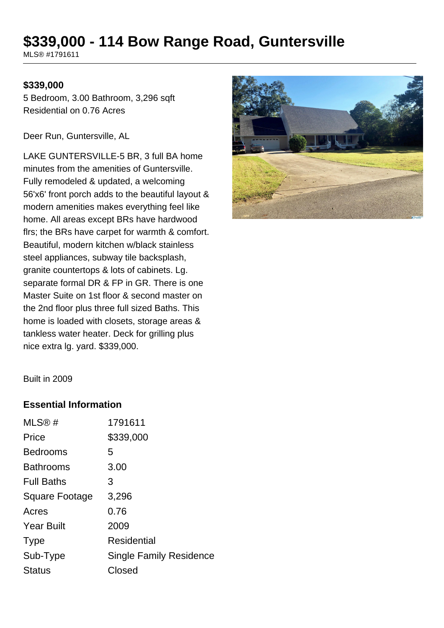# **\$339,000 - 114 Bow Range Road, Guntersville**

MLS® #1791611

#### **\$339,000**

5 Bedroom, 3.00 Bathroom, 3,296 sqft Residential on 0.76 Acres

Deer Run, Guntersville, AL

LAKE GUNTERSVILLE-5 BR, 3 full BA home minutes from the amenities of Guntersville. Fully remodeled & updated, a welcoming 56'x6' front porch adds to the beautiful layout & modern amenities makes everything feel like home. All areas except BRs have hardwood flrs; the BRs have carpet for warmth & comfort. Beautiful, modern kitchen w/black stainless steel appliances, subway tile backsplash, granite countertops & lots of cabinets. Lg. separate formal DR & FP in GR. There is one Master Suite on 1st floor & second master on the 2nd floor plus three full sized Baths. This home is loaded with closets, storage areas & tankless water heater. Deck for grilling plus nice extra lg. yard. \$339,000.



Built in 2009

#### **Essential Information**

| MLS@#             | 1791611                 |
|-------------------|-------------------------|
| Price             | \$339,000               |
| <b>Bedrooms</b>   | 5                       |
| <b>Bathrooms</b>  | 3.00                    |
| <b>Full Baths</b> | З                       |
| Square Footage    | 3,296                   |
| Acres             | 0.76                    |
| <b>Year Built</b> | 2009                    |
| <b>Type</b>       | Residential             |
| Sub-Type          | Single Family Residence |
| <b>Status</b>     | Closed                  |